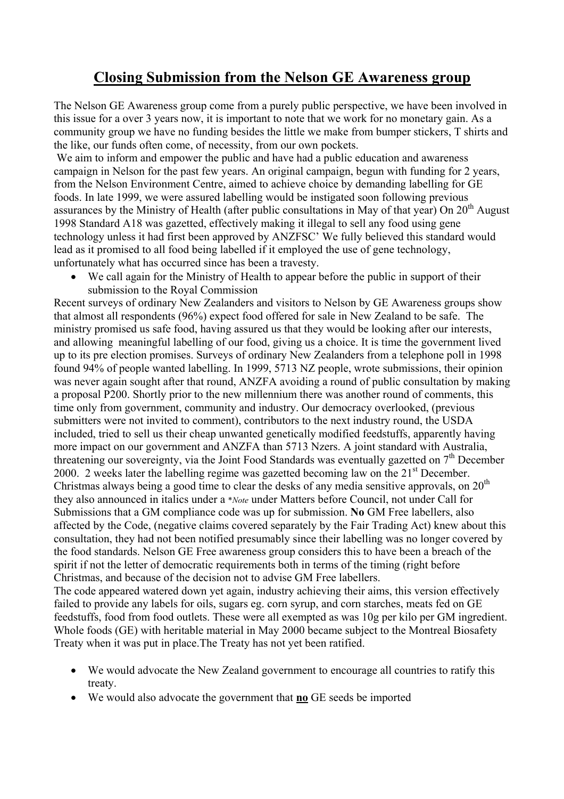## **Closing Submission from the Nelson GE Awareness group**

The Nelson GE Awareness group come from a purely public perspective, we have been involved in this issue for a over 3 years now, it is important to note that we work for no monetary gain. As a community group we have no funding besides the little we make from bumper stickers, T shirts and the like, our funds often come, of necessity, from our own pockets.

 We aim to inform and empower the public and have had a public education and awareness campaign in Nelson for the past few years. An original campaign, begun with funding for 2 years, from the Nelson Environment Centre, aimed to achieve choice by demanding labelling for GE foods. In late 1999, we were assured labelling would be instigated soon following previous assurances by the Ministry of Health (after public consultations in May of that year) On  $20<sup>th</sup>$  August 1998 Standard A18 was gazetted, effectively making it illegal to sell any food using gene technology unless it had first been approved by ANZFSC' We fully believed this standard would lead as it promised to all food being labelled if it employed the use of gene technology, unfortunately what has occurred since has been a travesty.

We call again for the Ministry of Health to appear before the public in support of their submission to the Royal Commission

Recent surveys of ordinary New Zealanders and visitors to Nelson by GE Awareness groups show that almost all respondents (96%) expect food offered for sale in New Zealand to be safe. The ministry promised us safe food, having assured us that they would be looking after our interests, and allowing meaningful labelling of our food, giving us a choice. It is time the government lived up to its pre election promises. Surveys of ordinary New Zealanders from a telephone poll in 1998 found 94% of people wanted labelling. In 1999, 5713 NZ people, wrote submissions, their opinion was never again sought after that round, ANZFA avoiding a round of public consultation by making a proposal P200. Shortly prior to the new millennium there was another round of comments, this time only from government, community and industry. Our democracy overlooked, (previous submitters were not invited to comment), contributors to the next industry round, the USDA included, tried to sell us their cheap unwanted genetically modified feedstuffs, apparently having more impact on our government and ANZFA than 5713 Nzers. A joint standard with Australia, threatening our sovereignty, via the Joint Food Standards was eventually gazetted on  $7<sup>th</sup>$  December 2000. 2 weeks later the labelling regime was gazetted becoming law on the  $21<sup>st</sup>$  December. Christmas always being a good time to clear the desks of any media sensitive approvals, on  $20<sup>th</sup>$ they also announced in italics under a \**Note* under Matters before Council, not under Call for Submissions that a GM compliance code was up for submission. **No** GM Free labellers, also affected by the Code, (negative claims covered separately by the Fair Trading Act) knew about this consultation, they had not been notified presumably since their labelling was no longer covered by the food standards. Nelson GE Free awareness group considers this to have been a breach of the spirit if not the letter of democratic requirements both in terms of the timing (right before Christmas, and because of the decision not to advise GM Free labellers.

The code appeared watered down yet again, industry achieving their aims, this version effectively failed to provide any labels for oils, sugars eg. corn syrup, and corn starches, meats fed on GE feedstuffs, food from food outlets. These were all exempted as was 10g per kilo per GM ingredient. Whole foods (GE) with heritable material in May 2000 became subject to the Montreal Biosafety Treaty when it was put in place.The Treaty has not yet been ratified.

- We would advocate the New Zealand government to encourage all countries to ratify this treaty.
- We would also advocate the government that **no** GE seeds be imported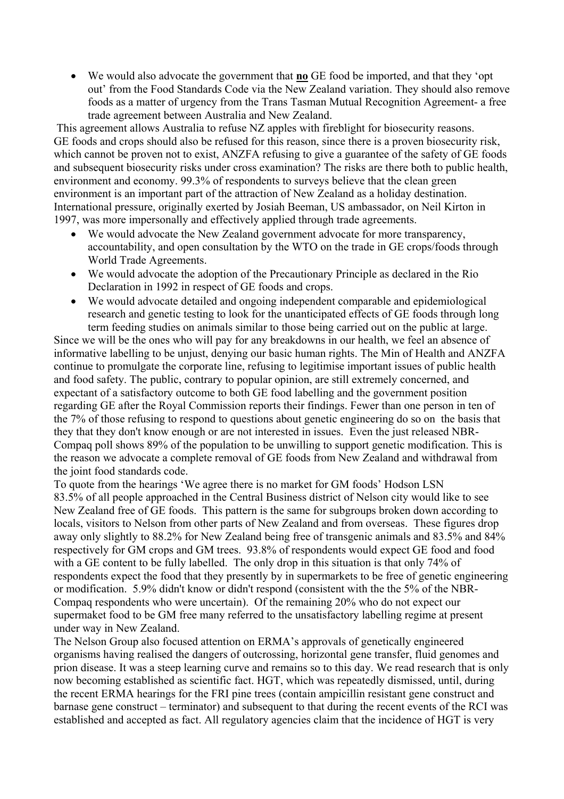• We would also advocate the government that **no** GE food be imported, and that they 'opt out' from the Food Standards Code via the New Zealand variation. They should also remove foods as a matter of urgency from the Trans Tasman Mutual Recognition Agreement- a free trade agreement between Australia and New Zealand.

 This agreement allows Australia to refuse NZ apples with fireblight for biosecurity reasons. GE foods and crops should also be refused for this reason, since there is a proven biosecurity risk, which cannot be proven not to exist, ANZFA refusing to give a guarantee of the safety of GE foods and subsequent biosecurity risks under cross examination? The risks are there both to public health, environment and economy. 99.3% of respondents to surveys believe that the clean green environment is an important part of the attraction of New Zealand as a holiday destination. International pressure, originally exerted by Josiah Beeman, US ambassador, on Neil Kirton in 1997, was more impersonally and effectively applied through trade agreements.

- We would advocate the New Zealand government advocate for more transparency, accountability, and open consultation by the WTO on the trade in GE crops/foods through World Trade Agreements.
- We would advocate the adoption of the Precautionary Principle as declared in the Rio Declaration in 1992 in respect of GE foods and crops.
- We would advocate detailed and ongoing independent comparable and epidemiological research and genetic testing to look for the unanticipated effects of GE foods through long term feeding studies on animals similar to those being carried out on the public at large.

Since we will be the ones who will pay for any breakdowns in our health, we feel an absence of informative labelling to be unjust, denying our basic human rights. The Min of Health and ANZFA continue to promulgate the corporate line, refusing to legitimise important issues of public health and food safety. The public, contrary to popular opinion, are still extremely concerned, and expectant of a satisfactory outcome to both GE food labelling and the government position regarding GE after the Royal Commission reports their findings. Fewer than one person in ten of the 7% of those refusing to respond to questions about genetic engineering do so on the basis that they that they don't know enough or are not interested in issues. Even the just released NBR-Compaq poll shows 89% of the population to be unwilling to support genetic modification. This is the reason we advocate a complete removal of GE foods from New Zealand and withdrawal from the joint food standards code.

To quote from the hearings 'We agree there is no market for GM foods' Hodson LSN 83.5% of all people approached in the Central Business district of Nelson city would like to see New Zealand free of GE foods. This pattern is the same for subgroups broken down according to locals, visitors to Nelson from other parts of New Zealand and from overseas. These figures drop away only slightly to 88.2% for New Zealand being free of transgenic animals and 83.5% and 84% respectively for GM crops and GM trees. 93.8% of respondents would expect GE food and food with a GE content to be fully labelled. The only drop in this situation is that only 74% of respondents expect the food that they presently by in supermarkets to be free of genetic engineering or modification. 5.9% didn't know or didn't respond (consistent with the the 5% of the NBR-Compaq respondents who were uncertain). Of the remaining 20% who do not expect our supermaket food to be GM free many referred to the unsatisfactory labelling regime at present under way in New Zealand.

The Nelson Group also focused attention on ERMA's approvals of genetically engineered organisms having realised the dangers of outcrossing, horizontal gene transfer, fluid genomes and prion disease. It was a steep learning curve and remains so to this day. We read research that is only now becoming established as scientific fact. HGT, which was repeatedly dismissed, until, during the recent ERMA hearings for the FRI pine trees (contain ampicillin resistant gene construct and barnase gene construct – terminator) and subsequent to that during the recent events of the RCI was established and accepted as fact. All regulatory agencies claim that the incidence of HGT is very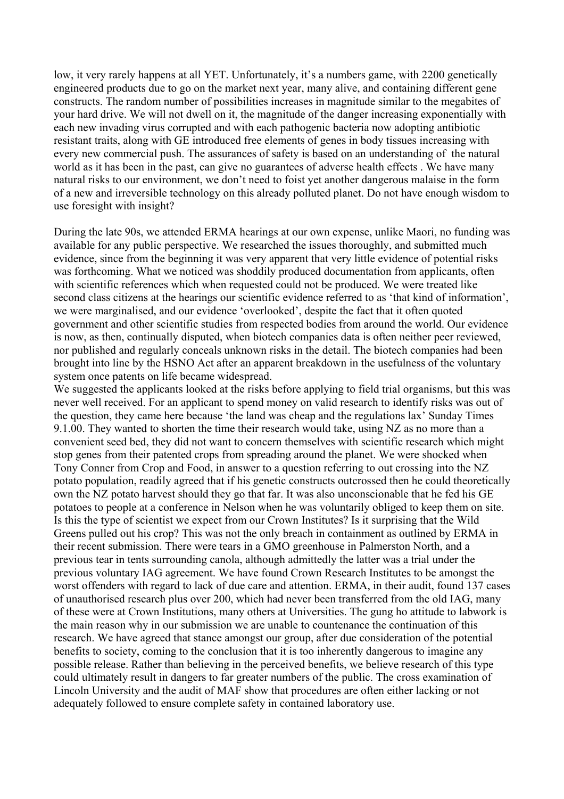low, it very rarely happens at all YET. Unfortunately, it's a numbers game, with 2200 genetically engineered products due to go on the market next year, many alive, and containing different gene constructs. The random number of possibilities increases in magnitude similar to the megabites of your hard drive. We will not dwell on it, the magnitude of the danger increasing exponentially with each new invading virus corrupted and with each pathogenic bacteria now adopting antibiotic resistant traits, along with GE introduced free elements of genes in body tissues increasing with every new commercial push. The assurances of safety is based on an understanding of the natural world as it has been in the past, can give no guarantees of adverse health effects . We have many natural risks to our environment, we don't need to foist yet another dangerous malaise in the form of a new and irreversible technology on this already polluted planet. Do not have enough wisdom to use foresight with insight?

During the late 90s, we attended ERMA hearings at our own expense, unlike Maori, no funding was available for any public perspective. We researched the issues thoroughly, and submitted much evidence, since from the beginning it was very apparent that very little evidence of potential risks was forthcoming. What we noticed was shoddily produced documentation from applicants, often with scientific references which when requested could not be produced. We were treated like second class citizens at the hearings our scientific evidence referred to as 'that kind of information', we were marginalised, and our evidence 'overlooked', despite the fact that it often quoted government and other scientific studies from respected bodies from around the world. Our evidence is now, as then, continually disputed, when biotech companies data is often neither peer reviewed, nor published and regularly conceals unknown risks in the detail. The biotech companies had been brought into line by the HSNO Act after an apparent breakdown in the usefulness of the voluntary system once patents on life became widespread.

We suggested the applicants looked at the risks before applying to field trial organisms, but this was never well received. For an applicant to spend money on valid research to identify risks was out of the question, they came here because 'the land was cheap and the regulations lax' Sunday Times 9.1.00. They wanted to shorten the time their research would take, using NZ as no more than a convenient seed bed, they did not want to concern themselves with scientific research which might stop genes from their patented crops from spreading around the planet. We were shocked when Tony Conner from Crop and Food, in answer to a question referring to out crossing into the NZ potato population, readily agreed that if his genetic constructs outcrossed then he could theoretically own the NZ potato harvest should they go that far. It was also unconscionable that he fed his GE potatoes to people at a conference in Nelson when he was voluntarily obliged to keep them on site. Is this the type of scientist we expect from our Crown Institutes? Is it surprising that the Wild Greens pulled out his crop? This was not the only breach in containment as outlined by ERMA in their recent submission. There were tears in a GMO greenhouse in Palmerston North, and a previous tear in tents surrounding canola, although admittedly the latter was a trial under the previous voluntary IAG agreement. We have found Crown Research Institutes to be amongst the worst offenders with regard to lack of due care and attention. ERMA, in their audit, found 137 cases of unauthorised research plus over 200, which had never been transferred from the old IAG, many of these were at Crown Institutions, many others at Universities. The gung ho attitude to labwork is the main reason why in our submission we are unable to countenance the continuation of this research. We have agreed that stance amongst our group, after due consideration of the potential benefits to society, coming to the conclusion that it is too inherently dangerous to imagine any possible release. Rather than believing in the perceived benefits, we believe research of this type could ultimately result in dangers to far greater numbers of the public. The cross examination of Lincoln University and the audit of MAF show that procedures are often either lacking or not adequately followed to ensure complete safety in contained laboratory use.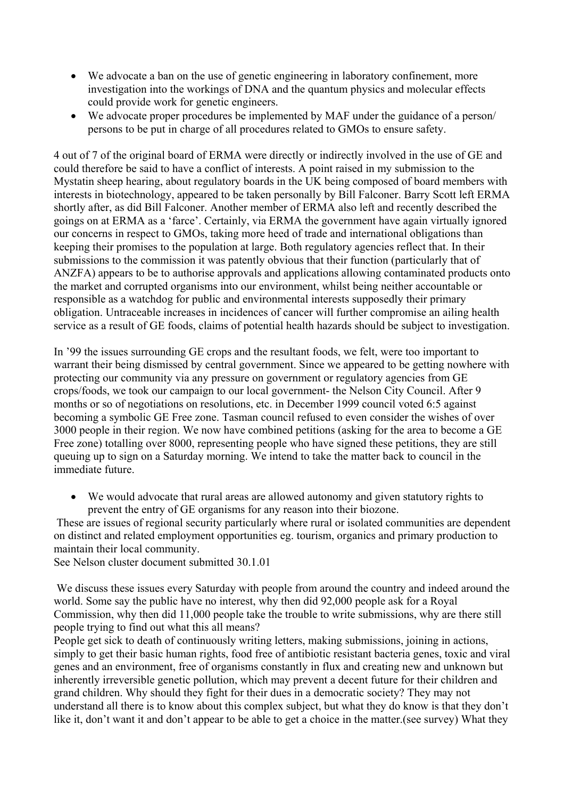- We advocate a ban on the use of genetic engineering in laboratory confinement, more investigation into the workings of DNA and the quantum physics and molecular effects could provide work for genetic engineers.
- We advocate proper procedures be implemented by MAF under the guidance of a person/ persons to be put in charge of all procedures related to GMOs to ensure safety.

4 out of 7 of the original board of ERMA were directly or indirectly involved in the use of GE and could therefore be said to have a conflict of interests. A point raised in my submission to the Mystatin sheep hearing, about regulatory boards in the UK being composed of board members with interests in biotechnology, appeared to be taken personally by Bill Falconer. Barry Scott left ERMA shortly after, as did Bill Falconer. Another member of ERMA also left and recently described the goings on at ERMA as a 'farce'. Certainly, via ERMA the government have again virtually ignored our concerns in respect to GMOs, taking more heed of trade and international obligations than keeping their promises to the population at large. Both regulatory agencies reflect that. In their submissions to the commission it was patently obvious that their function (particularly that of ANZFA) appears to be to authorise approvals and applications allowing contaminated products onto the market and corrupted organisms into our environment, whilst being neither accountable or responsible as a watchdog for public and environmental interests supposedly their primary obligation. Untraceable increases in incidences of cancer will further compromise an ailing health service as a result of GE foods, claims of potential health hazards should be subject to investigation.

In '99 the issues surrounding GE crops and the resultant foods, we felt, were too important to warrant their being dismissed by central government. Since we appeared to be getting nowhere with protecting our community via any pressure on government or regulatory agencies from GE crops/foods, we took our campaign to our local government- the Nelson City Council. After 9 months or so of negotiations on resolutions, etc. in December 1999 council voted 6:5 against becoming a symbolic GE Free zone. Tasman council refused to even consider the wishes of over 3000 people in their region. We now have combined petitions (asking for the area to become a GE Free zone) totalling over 8000, representing people who have signed these petitions, they are still queuing up to sign on a Saturday morning. We intend to take the matter back to council in the immediate future.

• We would advocate that rural areas are allowed autonomy and given statutory rights to prevent the entry of GE organisms for any reason into their biozone.

 These are issues of regional security particularly where rural or isolated communities are dependent on distinct and related employment opportunities eg. tourism, organics and primary production to maintain their local community.

See Nelson cluster document submitted 30.1.01

 We discuss these issues every Saturday with people from around the country and indeed around the world. Some say the public have no interest, why then did 92,000 people ask for a Royal Commission, why then did 11,000 people take the trouble to write submissions, why are there still people trying to find out what this all means?

People get sick to death of continuously writing letters, making submissions, joining in actions, simply to get their basic human rights, food free of antibiotic resistant bacteria genes, toxic and viral genes and an environment, free of organisms constantly in flux and creating new and unknown but inherently irreversible genetic pollution, which may prevent a decent future for their children and grand children. Why should they fight for their dues in a democratic society? They may not understand all there is to know about this complex subject, but what they do know is that they don't like it, don't want it and don't appear to be able to get a choice in the matter.(see survey) What they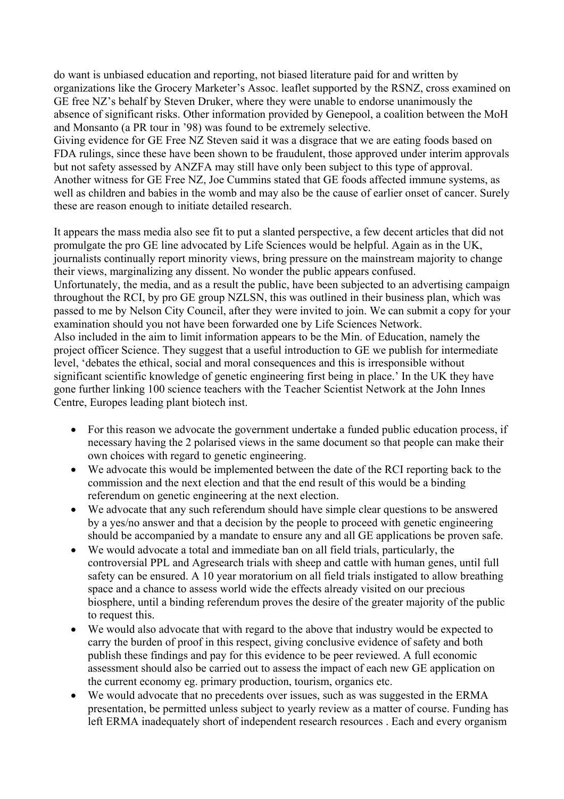do want is unbiased education and reporting, not biased literature paid for and written by organizations like the Grocery Marketer's Assoc. leaflet supported by the RSNZ, cross examined on GE free NZ's behalf by Steven Druker, where they were unable to endorse unanimously the absence of significant risks. Other information provided by Genepool, a coalition between the MoH and Monsanto (a PR tour in '98) was found to be extremely selective.

Giving evidence for GE Free NZ Steven said it was a disgrace that we are eating foods based on FDA rulings, since these have been shown to be fraudulent, those approved under interim approvals but not safety assessed by ANZFA may still have only been subject to this type of approval. Another witness for GE Free NZ, Joe Cummins stated that GE foods affected immune systems, as well as children and babies in the womb and may also be the cause of earlier onset of cancer. Surely these are reason enough to initiate detailed research.

It appears the mass media also see fit to put a slanted perspective, a few decent articles that did not promulgate the pro GE line advocated by Life Sciences would be helpful. Again as in the UK, journalists continually report minority views, bring pressure on the mainstream majority to change their views, marginalizing any dissent. No wonder the public appears confused. Unfortunately, the media, and as a result the public, have been subjected to an advertising campaign throughout the RCI, by pro GE group NZLSN, this was outlined in their business plan, which was passed to me by Nelson City Council, after they were invited to join. We can submit a copy for your examination should you not have been forwarded one by Life Sciences Network. Also included in the aim to limit information appears to be the Min. of Education, namely the project officer Science. They suggest that a useful introduction to GE we publish for intermediate level, 'debates the ethical, social and moral consequences and this is irresponsible without significant scientific knowledge of genetic engineering first being in place.' In the UK they have gone further linking 100 science teachers with the Teacher Scientist Network at the John Innes Centre, Europes leading plant biotech inst.

- For this reason we advocate the government undertake a funded public education process, if necessary having the 2 polarised views in the same document so that people can make their own choices with regard to genetic engineering.
- We advocate this would be implemented between the date of the RCI reporting back to the commission and the next election and that the end result of this would be a binding referendum on genetic engineering at the next election.
- We advocate that any such referendum should have simple clear questions to be answered by a yes/no answer and that a decision by the people to proceed with genetic engineering should be accompanied by a mandate to ensure any and all GE applications be proven safe.
- We would advocate a total and immediate ban on all field trials, particularly, the controversial PPL and Agresearch trials with sheep and cattle with human genes, until full safety can be ensured. A 10 year moratorium on all field trials instigated to allow breathing space and a chance to assess world wide the effects already visited on our precious biosphere, until a binding referendum proves the desire of the greater majority of the public to request this.
- We would also advocate that with regard to the above that industry would be expected to carry the burden of proof in this respect, giving conclusive evidence of safety and both publish these findings and pay for this evidence to be peer reviewed. A full economic assessment should also be carried out to assess the impact of each new GE application on the current economy eg. primary production, tourism, organics etc.
- We would advocate that no precedents over issues, such as was suggested in the ERMA presentation, be permitted unless subject to yearly review as a matter of course. Funding has left ERMA inadequately short of independent research resources . Each and every organism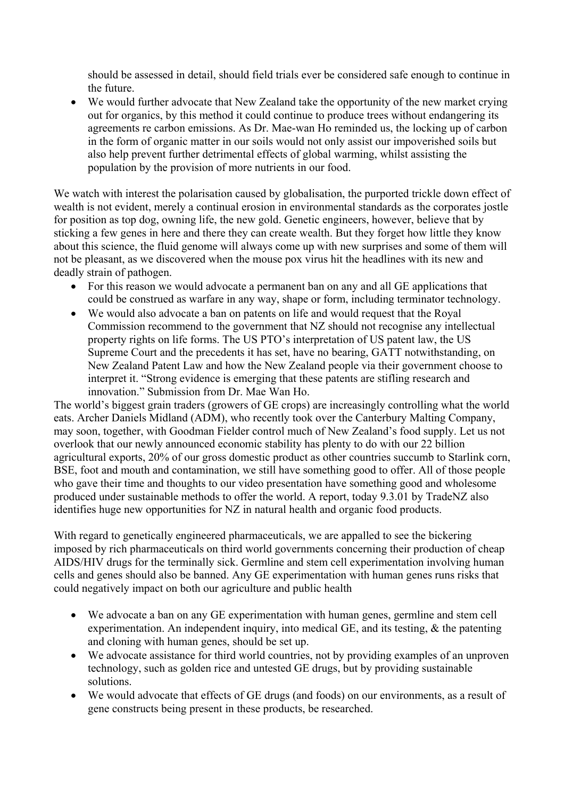should be assessed in detail, should field trials ever be considered safe enough to continue in the future.

• We would further advocate that New Zealand take the opportunity of the new market crying out for organics, by this method it could continue to produce trees without endangering its agreements re carbon emissions. As Dr. Mae-wan Ho reminded us, the locking up of carbon in the form of organic matter in our soils would not only assist our impoverished soils but also help prevent further detrimental effects of global warming, whilst assisting the population by the provision of more nutrients in our food.

We watch with interest the polarisation caused by globalisation, the purported trickle down effect of wealth is not evident, merely a continual erosion in environmental standards as the corporates jostle for position as top dog, owning life, the new gold. Genetic engineers, however, believe that by sticking a few genes in here and there they can create wealth. But they forget how little they know about this science, the fluid genome will always come up with new surprises and some of them will not be pleasant, as we discovered when the mouse pox virus hit the headlines with its new and deadly strain of pathogen.

- For this reason we would advocate a permanent ban on any and all GE applications that could be construed as warfare in any way, shape or form, including terminator technology.
- We would also advocate a ban on patents on life and would request that the Royal Commission recommend to the government that NZ should not recognise any intellectual property rights on life forms. The US PTO's interpretation of US patent law, the US Supreme Court and the precedents it has set, have no bearing, GATT notwithstanding, on New Zealand Patent Law and how the New Zealand people via their government choose to interpret it. "Strong evidence is emerging that these patents are stifling research and innovation." Submission from Dr. Mae Wan Ho.

The world's biggest grain traders (growers of GE crops) are increasingly controlling what the world eats. Archer Daniels Midland (ADM), who recently took over the Canterbury Malting Company, may soon, together, with Goodman Fielder control much of New Zealand's food supply. Let us not overlook that our newly announced economic stability has plenty to do with our 22 billion agricultural exports, 20% of our gross domestic product as other countries succumb to Starlink corn, BSE, foot and mouth and contamination, we still have something good to offer. All of those people who gave their time and thoughts to our video presentation have something good and wholesome produced under sustainable methods to offer the world. A report, today 9.3.01 by TradeNZ also identifies huge new opportunities for NZ in natural health and organic food products.

With regard to genetically engineered pharmaceuticals, we are appalled to see the bickering imposed by rich pharmaceuticals on third world governments concerning their production of cheap AIDS/HIV drugs for the terminally sick. Germline and stem cell experimentation involving human cells and genes should also be banned. Any GE experimentation with human genes runs risks that could negatively impact on both our agriculture and public health

- We advocate a ban on any GE experimentation with human genes, germline and stem cell experimentation. An independent inquiry, into medical GE, and its testing, & the patenting and cloning with human genes, should be set up.
- We advocate assistance for third world countries, not by providing examples of an unproven technology, such as golden rice and untested GE drugs, but by providing sustainable solutions.
- We would advocate that effects of GE drugs (and foods) on our environments, as a result of gene constructs being present in these products, be researched.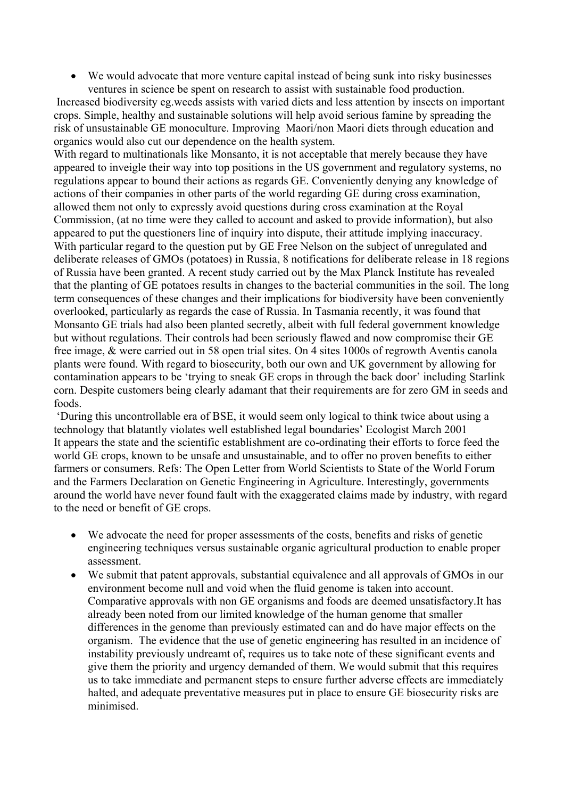• We would advocate that more venture capital instead of being sunk into risky businesses ventures in science be spent on research to assist with sustainable food production.

 Increased biodiversity eg.weeds assists with varied diets and less attention by insects on important crops. Simple, healthy and sustainable solutions will help avoid serious famine by spreading the risk of unsustainable GE monoculture. Improving Maori/non Maori diets through education and organics would also cut our dependence on the health system.

With regard to multinationals like Monsanto, it is not acceptable that merely because they have appeared to inveigle their way into top positions in the US government and regulatory systems, no regulations appear to bound their actions as regards GE. Conveniently denying any knowledge of actions of their companies in other parts of the world regarding GE during cross examination, allowed them not only to expressly avoid questions during cross examination at the Royal Commission, (at no time were they called to account and asked to provide information), but also appeared to put the questioners line of inquiry into dispute, their attitude implying inaccuracy. With particular regard to the question put by GE Free Nelson on the subject of unregulated and deliberate releases of GMOs (potatoes) in Russia, 8 notifications for deliberate release in 18 regions of Russia have been granted. A recent study carried out by the Max Planck Institute has revealed that the planting of GE potatoes results in changes to the bacterial communities in the soil. The long term consequences of these changes and their implications for biodiversity have been conveniently overlooked, particularly as regards the case of Russia. In Tasmania recently, it was found that Monsanto GE trials had also been planted secretly, albeit with full federal government knowledge but without regulations. Their controls had been seriously flawed and now compromise their GE free image, & were carried out in 58 open trial sites. On 4 sites 1000s of regrowth Aventis canola plants were found. With regard to biosecurity, both our own and UK government by allowing for contamination appears to be 'trying to sneak GE crops in through the back door' including Starlink corn. Despite customers being clearly adamant that their requirements are for zero GM in seeds and foods.

 'During this uncontrollable era of BSE, it would seem only logical to think twice about using a technology that blatantly violates well established legal boundaries' Ecologist March 2001 It appears the state and the scientific establishment are co-ordinating their efforts to force feed the world GE crops, known to be unsafe and unsustainable, and to offer no proven benefits to either farmers or consumers. Refs: The Open Letter from World Scientists to State of the World Forum and the Farmers Declaration on Genetic Engineering in Agriculture. Interestingly, governments around the world have never found fault with the exaggerated claims made by industry, with regard to the need or benefit of GE crops.

- We advocate the need for proper assessments of the costs, benefits and risks of genetic engineering techniques versus sustainable organic agricultural production to enable proper assessment.
- We submit that patent approvals, substantial equivalence and all approvals of GMOs in our environment become null and void when the fluid genome is taken into account. Comparative approvals with non GE organisms and foods are deemed unsatisfactory.It has already been noted from our limited knowledge of the human genome that smaller differences in the genome than previously estimated can and do have major effects on the organism. The evidence that the use of genetic engineering has resulted in an incidence of instability previously undreamt of, requires us to take note of these significant events and give them the priority and urgency demanded of them. We would submit that this requires us to take immediate and permanent steps to ensure further adverse effects are immediately halted, and adequate preventative measures put in place to ensure GE biosecurity risks are minimised.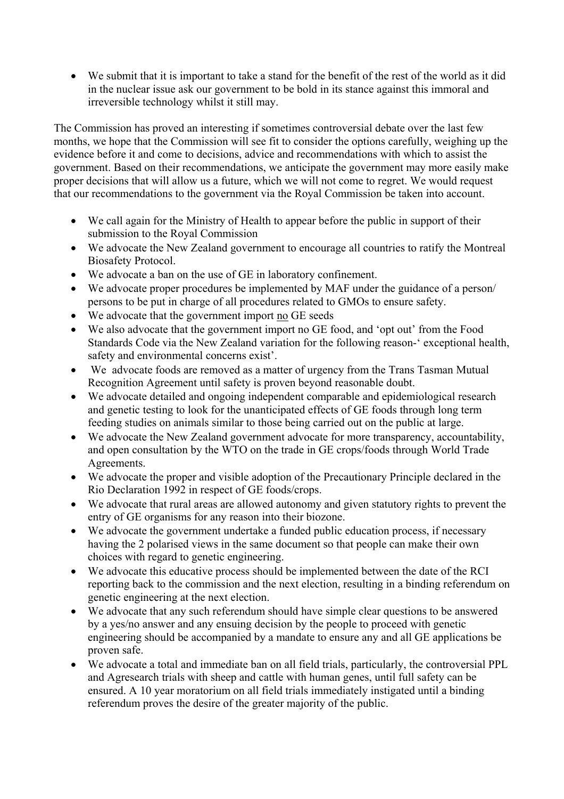• We submit that it is important to take a stand for the benefit of the rest of the world as it did in the nuclear issue ask our government to be bold in its stance against this immoral and irreversible technology whilst it still may.

The Commission has proved an interesting if sometimes controversial debate over the last few months, we hope that the Commission will see fit to consider the options carefully, weighing up the evidence before it and come to decisions, advice and recommendations with which to assist the government. Based on their recommendations, we anticipate the government may more easily make proper decisions that will allow us a future, which we will not come to regret. We would request that our recommendations to the government via the Royal Commission be taken into account.

- We call again for the Ministry of Health to appear before the public in support of their submission to the Royal Commission
- We advocate the New Zealand government to encourage all countries to ratify the Montreal Biosafety Protocol.
- We advocate a ban on the use of GE in laboratory confinement.
- We advocate proper procedures be implemented by MAF under the guidance of a person/ persons to be put in charge of all procedures related to GMOs to ensure safety.
- We advocate that the government import no GE seeds
- We also advocate that the government import no GE food, and 'opt out' from the Food Standards Code via the New Zealand variation for the following reason-' exceptional health, safety and environmental concerns exist'.
- We advocate foods are removed as a matter of urgency from the Trans Tasman Mutual Recognition Agreement until safety is proven beyond reasonable doubt.
- We advocate detailed and ongoing independent comparable and epidemiological research and genetic testing to look for the unanticipated effects of GE foods through long term feeding studies on animals similar to those being carried out on the public at large.
- We advocate the New Zealand government advocate for more transparency, accountability, and open consultation by the WTO on the trade in GE crops/foods through World Trade Agreements.
- We advocate the proper and visible adoption of the Precautionary Principle declared in the Rio Declaration 1992 in respect of GE foods/crops.
- We advocate that rural areas are allowed autonomy and given statutory rights to prevent the entry of GE organisms for any reason into their biozone.
- We advocate the government undertake a funded public education process, if necessary having the 2 polarised views in the same document so that people can make their own choices with regard to genetic engineering.
- We advocate this educative process should be implemented between the date of the RCI reporting back to the commission and the next election, resulting in a binding referendum on genetic engineering at the next election.
- We advocate that any such referendum should have simple clear questions to be answered by a yes/no answer and any ensuing decision by the people to proceed with genetic engineering should be accompanied by a mandate to ensure any and all GE applications be proven safe.
- We advocate a total and immediate ban on all field trials, particularly, the controversial PPL and Agresearch trials with sheep and cattle with human genes, until full safety can be ensured. A 10 year moratorium on all field trials immediately instigated until a binding referendum proves the desire of the greater majority of the public.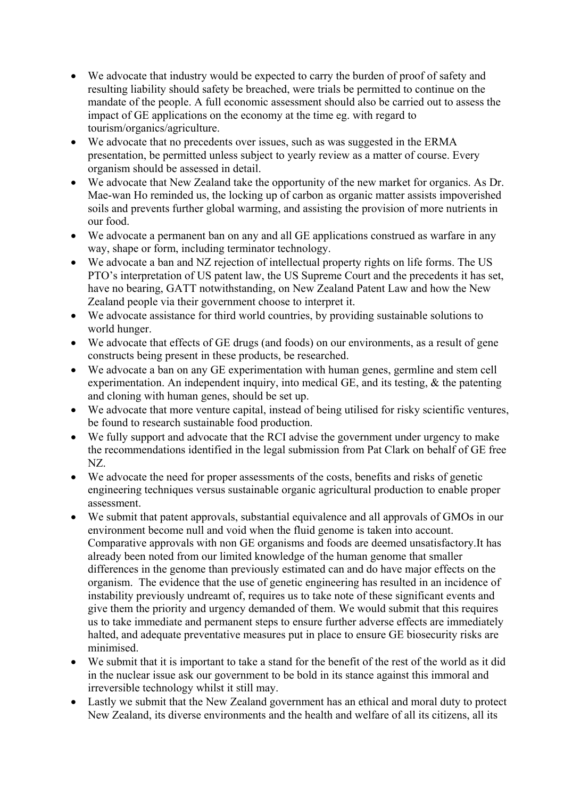- We advocate that industry would be expected to carry the burden of proof of safety and resulting liability should safety be breached, were trials be permitted to continue on the mandate of the people. A full economic assessment should also be carried out to assess the impact of GE applications on the economy at the time eg. with regard to tourism/organics/agriculture.
- We advocate that no precedents over issues, such as was suggested in the ERMA presentation, be permitted unless subject to yearly review as a matter of course. Every organism should be assessed in detail.
- We advocate that New Zealand take the opportunity of the new market for organics. As Dr. Mae-wan Ho reminded us, the locking up of carbon as organic matter assists impoverished soils and prevents further global warming, and assisting the provision of more nutrients in our food.
- We advocate a permanent ban on any and all GE applications construed as warfare in any way, shape or form, including terminator technology.
- We advocate a ban and NZ rejection of intellectual property rights on life forms. The US PTO's interpretation of US patent law, the US Supreme Court and the precedents it has set, have no bearing, GATT notwithstanding, on New Zealand Patent Law and how the New Zealand people via their government choose to interpret it.
- We advocate assistance for third world countries, by providing sustainable solutions to world hunger.
- We advocate that effects of GE drugs (and foods) on our environments, as a result of gene constructs being present in these products, be researched.
- We advocate a ban on any GE experimentation with human genes, germline and stem cell experimentation. An independent inquiry, into medical GE, and its testing, & the patenting and cloning with human genes, should be set up.
- We advocate that more venture capital, instead of being utilised for risky scientific ventures, be found to research sustainable food production.
- We fully support and advocate that the RCI advise the government under urgency to make the recommendations identified in the legal submission from Pat Clark on behalf of GE free NZ.
- We advocate the need for proper assessments of the costs, benefits and risks of genetic engineering techniques versus sustainable organic agricultural production to enable proper assessment.
- We submit that patent approvals, substantial equivalence and all approvals of GMOs in our environment become null and void when the fluid genome is taken into account. Comparative approvals with non GE organisms and foods are deemed unsatisfactory.It has already been noted from our limited knowledge of the human genome that smaller differences in the genome than previously estimated can and do have major effects on the organism. The evidence that the use of genetic engineering has resulted in an incidence of instability previously undreamt of, requires us to take note of these significant events and give them the priority and urgency demanded of them. We would submit that this requires us to take immediate and permanent steps to ensure further adverse effects are immediately halted, and adequate preventative measures put in place to ensure GE biosecurity risks are minimised.
- We submit that it is important to take a stand for the benefit of the rest of the world as it did in the nuclear issue ask our government to be bold in its stance against this immoral and irreversible technology whilst it still may.
- Lastly we submit that the New Zealand government has an ethical and moral duty to protect New Zealand, its diverse environments and the health and welfare of all its citizens, all its